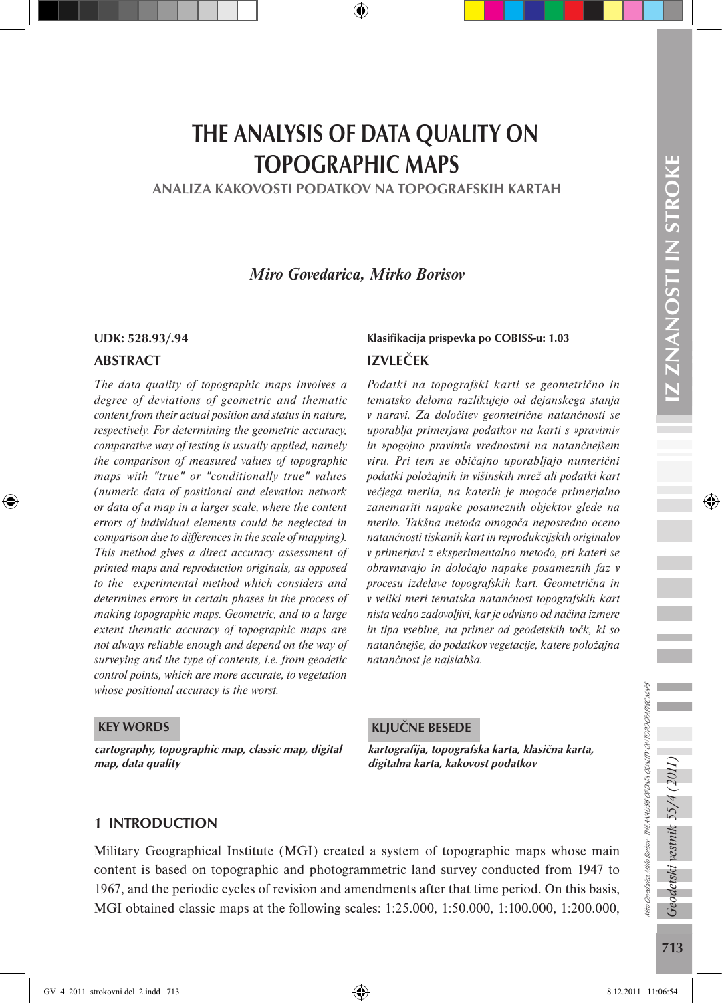# THE ANALYSIS OF DATA QUALITY ON TOPOGRAPHIC MAPS

ANALIZA KAKOVOSTI PODATKOV NA TOPOGRAFSKIH KARTAH

*Miro Govedarica, Mirko Borisov* 

#### ABSTRACT

*The data quality of topographic maps involves a degree of deviations of geometric and thematic content from their actual position and status in nature, respectively. For determining the geometric accuracy, comparative way of testing is usually applied, namely the comparison of measured values of topographic maps with "true" or "conditionally true" values (numeric data of positional and elevation network or data of a map in a larger scale, where the content errors of individual elements could be neglected in comparison due to differences in the scale of mapping). This method gives a direct accuracy assessment of printed maps and reproduction originals, as opposed to the experimental method which considers and determines errors in certain phases in the process of making topographic maps. Geometric, and to a large extent thematic accuracy of topographic maps are not always reliable enough and depend on the way of surveying and the type of contents, i.e. from geodetic control points, which are more accurate, to vegetation whose positional accuracy is the worst.*

# UDK: 528.93/.94 Klasifikacija prispevka po COBISS-u: 1.03 IZVLEČEK

*Podatki na topografski karti se geometrično in tematsko deloma razlikujejo od dejanskega stanja v naravi. Za določitev geometrične natančnosti se uporablja primerjava podatkov na karti s »pravimi« in »pogojno pravimi« vrednostmi na natančnejšem viru. Pri tem se običajno uporabljajo numerični podatki položajnih in višinskih mrež ali podatki kart večjega merila, na katerih je mogoče primerjalno zanemariti napake posameznih objektov glede na merilo. Takšna metoda omogoča neposredno oceno natančnosti tiskanih kart in reprodukcijskih originalov v primerjavi z eksperimentalno metodo, pri kateri se obravnavajo in določajo napake posameznih faz v procesu izdelave topografskih kart. Geometrična in v veliki meri tematska natančnost topografskih kart nista vedno zadovoljivi, kar je odvisno od načina izmere in tipa vsebine, na primer od geodetskih točk, ki so natančnejše, do podatkov vegetacije, katere položajna natančnost je najslabša.*

#### KEY WORDS

cartography, topographic map, classic map, digital map, data quality

#### KLJUČNE BESEDE

kartografija, topografska karta, klasična karta, digitalna karta, kakovost podatkov

#### 1 INTRODUCTION

Military Geographical Institute (MGI) created a system of topographic maps whose main content is based on topographic and photogrammetric land survey conducted from 1947 to 1967, and the periodic cycles of revision and amendments after that time period. On this basis, MGI obtained classic maps at the following scales: 1:25.000, 1:50.000, 1:100.000, 1:200.000,

Geodetski vestnik 55/4 (2011

Miro Govedarica, Mirko Borisov - THE ANALYSIS OF DATA QUALITY ON TOPOGRAPHIC MAPS

kro Govedarica, Mirko Borisov - THE ANALYSIS OF DATA QUALITY ON TOPOGRAPHIC MAPS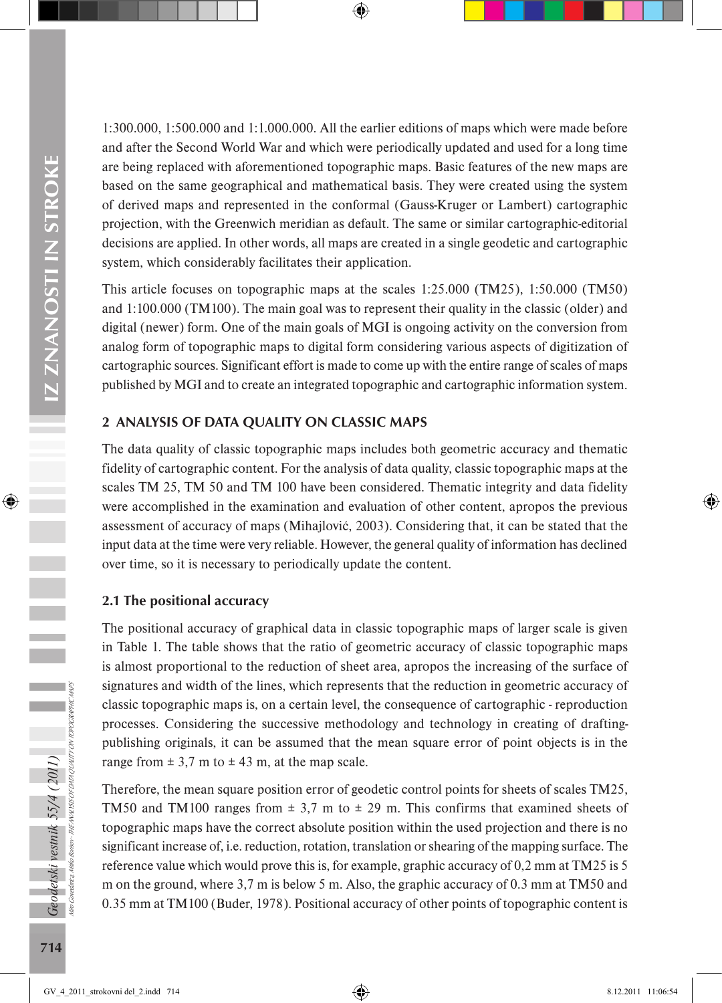1:300.000, 1:500.000 and 1:1.000.000. All the earlier editions of maps which were made before and after the Second World War and which were periodically updated and used for a long time are being replaced with aforementioned topographic maps. Basic features of the new maps are based on the same geographical and mathematical basis. They were created using the system of derived maps and represented in the conformal (Gauss-Kruger or Lambert) cartographic projection, with the Greenwich meridian as default. The same or similar cartographic-editorial decisions are applied. In other words, all maps are created in a single geodetic and cartographic system, which considerably facilitates their application.

This article focuses on topographic maps at the scales 1:25.000 (TM25), 1:50.000 (TM50) and 1:100.000 (TM100). The main goal was to represent their quality in the classic (older) and digital (newer) form. One of the main goals of MGI is ongoing activity on the conversion from analog form of topographic maps to digital form considering various aspects of digitization of cartographic sources. Significant effort is made to come up with the entire range of scales of maps published by MGI and to create an integrated topographic and cartographic information system.

## 2 ANALYSIS OF DATA QUALITY ON CLASSIC MAPS

The data quality of classic topographic maps includes both geometric accuracy and thematic fidelity of cartographic content. For the analysis of data quality, classic topographic maps at the scales TM 25, TM 50 and TM 100 have been considered. Thematic integrity and data fidelity were accomplished in the examination and evaluation of other content, apropos the previous assessment of accuracy of maps (Mihajlović, 2003). Considering that, it can be stated that the input data at the time were very reliable. However, the general quality of information has declined over time, so it is necessary to periodically update the content.

#### 2.1 The positional accuracy

The positional accuracy of graphical data in classic topographic maps of larger scale is given in Table 1. The table shows that the ratio of geometric accuracy of classic topographic maps is almost proportional to the reduction of sheet area, apropos the increasing of the surface of signatures and width of the lines, which represents that the reduction in geometric accuracy of classic topographic maps is, on a certain level, the consequence of cartographic - reproduction processes. Considering the successive methodology and technology in creating of draftingpublishing originals, it can be assumed that the mean square error of point objects is in the range from  $\pm$  3,7 m to  $\pm$  43 m, at the map scale.

Therefore, the mean square position error of geodetic control points for sheets of scales TM25, TM50 and TM100 ranges from  $\pm$  3,7 m to  $\pm$  29 m. This confirms that examined sheets of topographic maps have the correct absolute position within the used projection and there is no significant increase of, i.e. reduction, rotation, translation or shearing of the mapping surface. The reference value which would prove this is, for example, graphic accuracy of 0,2 mm at TM25 is 5 m on the ground, where 3,7 m is below 5 m. Also, the graphic accuracy of 0.3 mm at TM50 and 0.35 mm at TM100 (Buder, 1978). Positional accuracy of other points of topographic content is

Miro Govedarica, Mirko Borisov - THE ANALYSIS OF DATA QUALITY ON TOPOGRAPHIC MAPS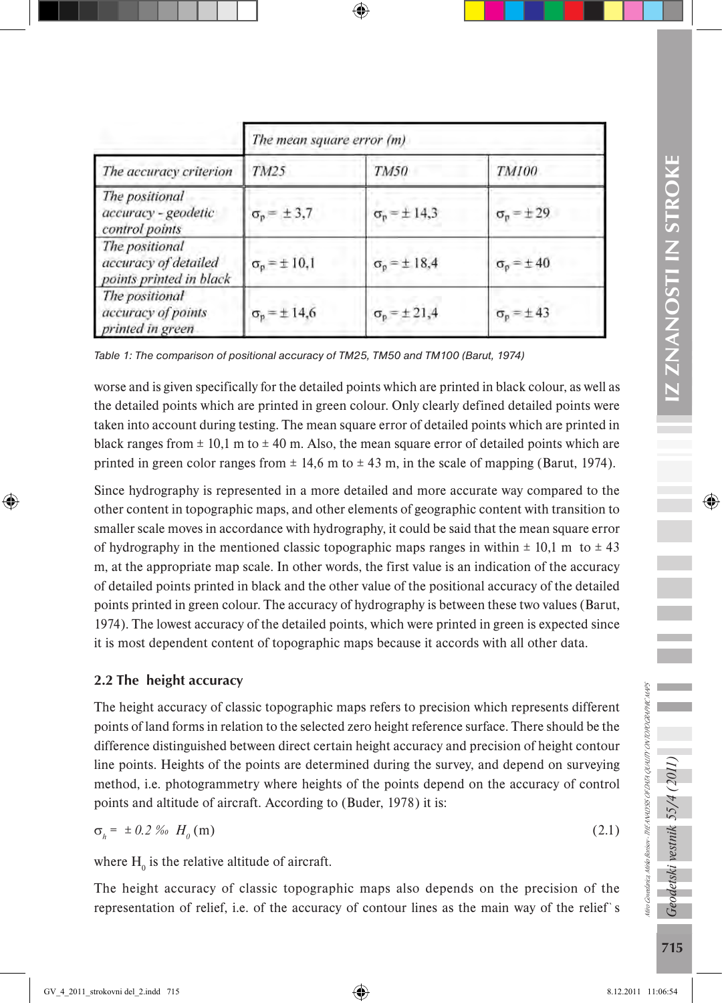|                                                                   | The mean square error (m) |                             |                     |  |  |  |
|-------------------------------------------------------------------|---------------------------|-----------------------------|---------------------|--|--|--|
| The accuracy criterion                                            | TM25                      | <b>TM50</b>                 | <b>TM100</b>        |  |  |  |
| The positional<br>accuracy - geodetic<br>control points           | $\sigma_p = \pm 3.7$      | $\sigma_p = \pm 14.3$       | $\sigma_p = \pm 29$ |  |  |  |
| The positional<br>accuracy of detailed<br>points printed in black | $\sigma_p = \pm 10,1$     | $\sigma_p = \pm 18.4$       | $\sigma_p = \pm 40$ |  |  |  |
| The positional<br>accuracy of points<br>printed in green          | $\sigma_p = \pm 14.6$     | $\sigma_{\rm p} = \pm 21,4$ | $\sigma_p = \pm 43$ |  |  |  |

*Table 1: The comparison of positional accuracy of TM25, TM50 and TM100 (Barut, 1974)* 

worse and is given specifically for the detailed points which are printed in black colour, as well as the detailed points which are printed in green colour. Only clearly defined detailed points were taken into account during testing. The mean square error of detailed points which are printed in black ranges from  $\pm$  10,1 m to  $\pm$  40 m. Also, the mean square error of detailed points which are printed in green color ranges from  $\pm$  14,6 m to  $\pm$  43 m, in the scale of mapping (Barut, 1974).

Since hydrography is represented in a more detailed and more accurate way compared to the other content in topographic maps, and other elements of geographic content with transition to smaller scale moves in accordance with hydrography, it could be said that the mean square error of hydrography in the mentioned classic topographic maps ranges in within  $\pm$  10,1 m to  $\pm$  43 m, at the appropriate map scale. In other words, the first value is an indication of the accuracy of detailed points printed in black and the other value of the positional accuracy of the detailed points printed in green colour. The accuracy of hydrography is between these two values (Barut, 1974). The lowest accuracy of the detailed points, which were printed in green is expected since it is most dependent content of topographic maps because it accords with all other data.

#### 2.2 The height accuracy

The height accuracy of classic topographic maps refers to precision which represents different points of land forms in relation to the selected zero height reference surface. There should be the difference distinguished between direct certain height accuracy and precision of height contour line points. Heights of the points are determined during the survey, and depend on surveying method, i.e. photogrammetry where heights of the points depend on the accuracy of control points and altitude of aircraft. According to (Buder, 1978) it is:

$$
\sigma_h = \pm 0.2 \text{ % } H_0(m) \tag{2.1}
$$

where  $H_0$  is the relative altitude of aircraft.

The height accuracy of classic topographic maps also depends on the precision of the representation of relief, i.e. of the accuracy of contour lines as the main way of the relief`s

Miro Govedarica, Mirko Borisov - THE ANALYSIS OF DATA QUALITY ON TOPOGRAPHIC MAPS

kro Govedarica, Mirko Borisov - THE ANALYSIS OF DATA QUALITY ON TOPOGRAPHIC MAPS

Geodetski vestnik 55/4 (2011)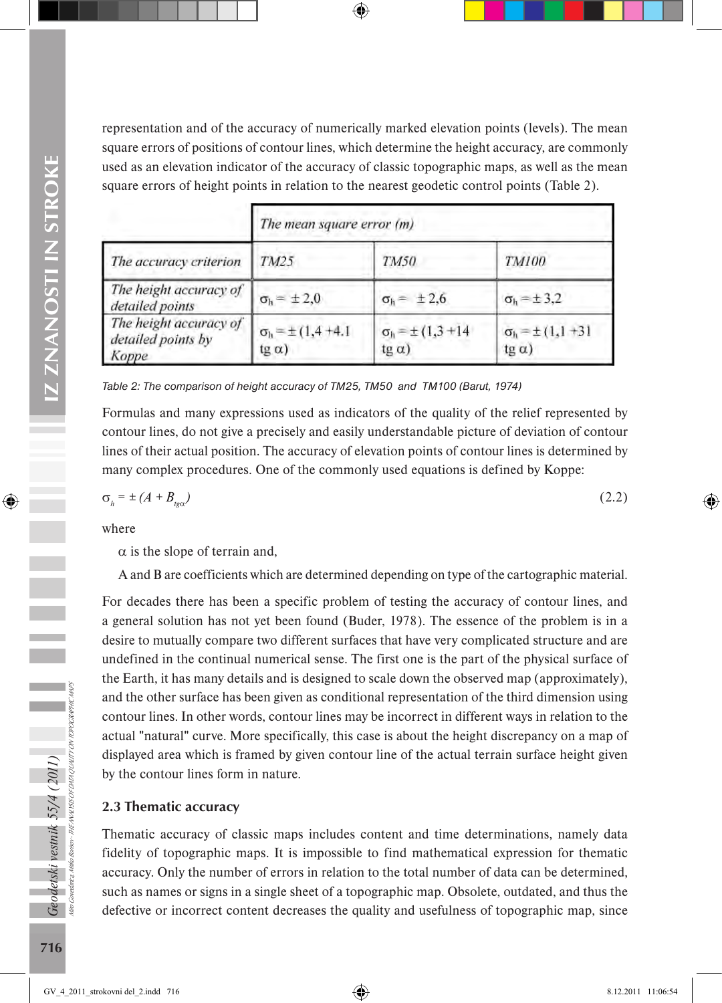representation and of the accuracy of numerically marked elevation points (levels). The mean square errors of positions of contour lines, which determine the height accuracy, are commonly used as an elevation indicator of the accuracy of classic topographic maps, as well as the mean square errors of height points in relation to the nearest geodetic control points (Table 2).

|                                                       | The mean square error (m)                     |                                             |                                            |  |  |  |
|-------------------------------------------------------|-----------------------------------------------|---------------------------------------------|--------------------------------------------|--|--|--|
| The accuracy criterion                                | TM25                                          | TM50                                        | <b>TM100</b>                               |  |  |  |
| The height accuracy of<br>detailed points             | $\sigma_h = \pm 2.0$                          | $\sigma_h = \pm 2.6$                        | $\sigma_h = \pm 3.2$                       |  |  |  |
| The height accuracy of<br>detailed points by<br>Koppe | $\sigma_h = \pm (1, 4 + 4.1)$<br>$(g \alpha)$ | $\sigma_h = \pm (1,3 + 14)$<br>$tg \alpha)$ | $\sigma_h = \pm (1, 1 + 3)$<br>$tg \alpha$ |  |  |  |

Table 2: The comparison of height accuracy of TM25, TM50 and TM100 (Barut, 1974)

Formulas and many expressions used as indicators of the quality of the relief represented by contour lines, do not give a precisely and easily understandable picture of deviation of contour lines of their actual position. The accuracy of elevation points of contour lines is determined by many complex procedures. One of the commonly used equations is defined by Koppe:

$$
\sigma_h = \pm (A + B_{\text{tg}\alpha}) \tag{2.2}
$$

where

 $\alpha$  is the slope of terrain and,

A and B are coefficients which are determined depending on type of the cartographic material.

For decades there has been a specific problem of testing the accuracy of contour lines, and a general solution has not yet been found (Buder, 1978). The essence of the problem is in a desire to mutually compare two different surfaces that have very complicated structure and are undefined in the continual numerical sense. The first one is the part of the physical surface of the Earth, it has many details and is designed to scale down the observed map (approximately), and the other surface has been given as conditional representation of the third dimension using contour lines. In other words, contour lines may be incorrect in different ways in relation to the actual "natural" curve. More specifically, this case is about the height discrepancy on a map of displayed area which is framed by given contour line of the actual terrain surface height given by the contour lines form in nature.

#### 2.3 Thematic accuracy

Thematic accuracy of classic maps includes content and time determinations, namely data fidelity of topographic maps. It is impossible to find mathematical expression for thematic accuracy. Only the number of errors in relation to the total number of data can be determined, such as names or signs in a single sheet of a topographic map. Obsolete, outdated, and thus the defective or incorrect content decreases the quality and usefulness of topographic map, since

Miro Govedarica, Mirko Borisov -

THE ANALYSIS OF DATA QUALITY ON TOPOGRAPHIC MAPS

י בגעווואר אין די גערער אווווסטישען פון די גערער אוווערטישען.<br>פון דער אין דער אין דער אין די די גערער אין די דערער אויפן פון דער אין דערער אויף דער אויפן פון דערער אויפן פו

Geodetski vestnik 55/4 (2011)<br><sub>Me Gerdera Metobero - The Aveliss orong olyun o</sub>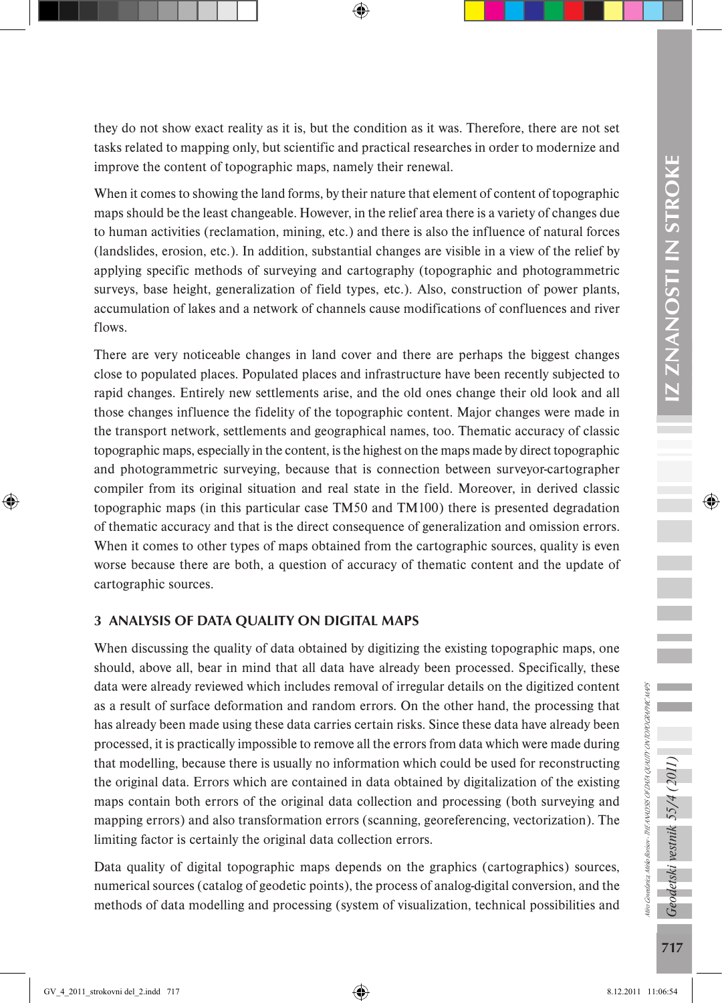they do not show exact reality as it is, but the condition as it was. Therefore, there are not set tasks related to mapping only, but scientific and practical researches in order to modernize and improve the content of topographic maps, namely their renewal.

When it comes to showing the land forms, by their nature that element of content of topographic maps should be the least changeable. However, in the relief area there is a variety of changes due to human activities (reclamation, mining, etc.) and there is also the influence of natural forces (landslides, erosion, etc.). In addition, substantial changes are visible in a view of the relief by applying specific methods of surveying and cartography (topographic and photogrammetric surveys, base height, generalization of field types, etc.). Also, construction of power plants, accumulation of lakes and a network of channels cause modifications of confluences and river flows.

There are very noticeable changes in land cover and there are perhaps the biggest changes close to populated places. Populated places and infrastructure have been recently subjected to rapid changes. Entirely new settlements arise, and the old ones change their old look and all those changes influence the fidelity of the topographic content. Major changes were made in the transport network, settlements and geographical names, too. Thematic accuracy of classic topographic maps, especially in the content, is the highest on the maps made by direct topographic and photogrammetric surveying, because that is connection between surveyor-cartographer compiler from its original situation and real state in the field. Moreover, in derived classic topographic maps (in this particular case TM50 and TM100) there is presented degradation of thematic accuracy and that is the direct consequence of generalization and omission errors. When it comes to other types of maps obtained from the cartographic sources, quality is even worse because there are both, a question of accuracy of thematic content and the update of cartographic sources.

# 3 ANALYSIS OF DATA QUALITY ON DIGITAL MAPS

When discussing the quality of data obtained by digitizing the existing topographic maps, one should, above all, bear in mind that all data have already been processed. Specifically, these data were already reviewed which includes removal of irregular details on the digitized content as a result of surface deformation and random errors. On the other hand, the processing that has already been made using these data carries certain risks. Since these data have already been processed, it is practically impossible to remove all the errors from data which were made during that modelling, because there is usually no information which could be used for reconstructing the original data. Errors which are contained in data obtained by digitalization of the existing maps contain both errors of the original data collection and processing (both surveying and mapping errors) and also transformation errors (scanning, georeferencing, vectorization). The limiting factor is certainly the original data collection errors.

Data quality of digital topographic maps depends on the graphics (cartographics) sources, numerical sources (catalog of geodetic points), the process of analog-digital conversion, and the methods of data modelling and processing (system of visualization, technical possibilities and Geodetski vestnik 55/4 (2011)

Miro Govedarica, Mirko Borisov - THE ANALYSIS OF DATA QUALITY ON TOPOGRAPHIC MAPS

kro Govedarica, Mirko Borisov - THE ANALYSIS OF DATA QUALITY ON TOPOGRAPHIC MAPS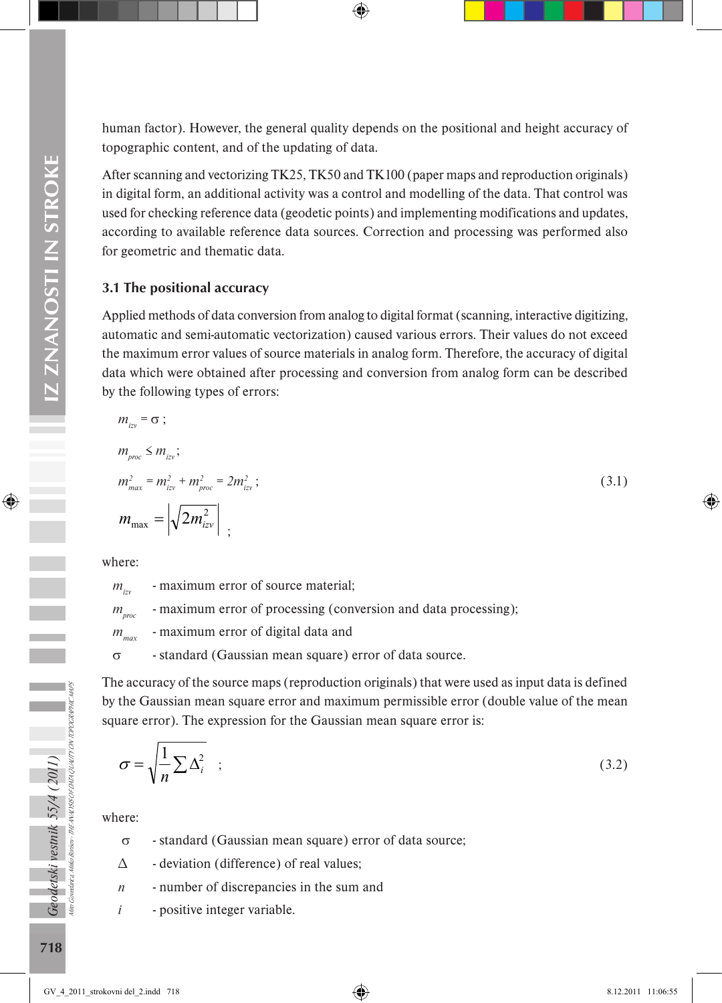human factor). However, the general quality depends on the positional and height accuracy of topographic content, and of the updating of data.

After scanning and vectorizing TK25, TK50 and TK100 (paper maps and reproduction originals) in digital form, an additional activity was a control and modelling of the data. That control was used for checking reference data (geodetic points) and implementing modifications and updates, according to available reference data sources. Correction and processing was performed also for geometric and thematic data.

#### 3.1 The positional accuracy

Applied methods of data conversion from analog to digital format (scanning, interactive digitizing, automatic and semi-automatic vectorization) caused various errors. Their values do not exceed the maximum error values of source materials in analog form. Therefore, the accuracy of digital data which were obtained after processing and conversion from analog form can be described by the following types of errors:

$$
m_{ij} = \sigma ;
$$
  
\n
$$
m_{\text{proc}} \le m_{iz},
$$
  
\n
$$
m_{\text{max}}^2 = m_{iz}^2 + m_{\text{proc}}^2 = 2m_{iz}^2 ;
$$
  
\n
$$
m_{\text{max}} = \left| \sqrt{2m_{iz}^2} \right| ;
$$
\n(3.1)

where:

*m*<sub>izy</sub> - maximum error of source material;

*m<sub>proc</sub>* - maximum error of processing (conversion and data processing);

*m<sub>max</sub>* - maximum error of digital data and

σ - standard (Gaussian mean square) error of data source.

The accuracy of the source maps (reproduction originals) that were used as input data is defined by the Gaussian mean square error and maximum permissible error (double value of the mean square error). The expression for the Gaussian mean square error is:

$$
\sigma = \sqrt{\frac{1}{n} \sum \Delta_i^2} \quad ; \tag{3.2}
$$

where:

- σ standard (Gaussian mean square) error of data source;
- ∆ deviation (difference) of real values;
- *n* number of discrepancies in the sum and
- *i* positive integer variable.

Miro Govedarica, Mirko Borisov -

THE ANALYSIS OF DATA QUALITY ON TOPOGRAPHIC MAPS

Geodetski vestnik 55/4 (2011)<br><sup>Me</sup> osedna udo*bnov - tik* wurss orona quum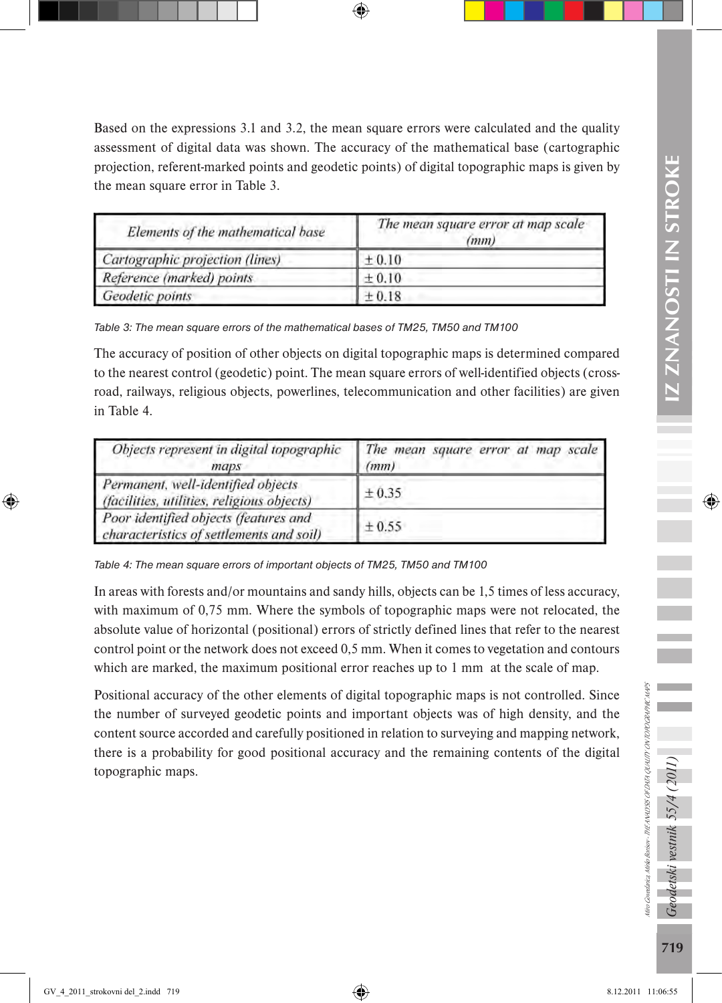Based on the expressions 3.1 and 3.2, the mean square errors were calculated and the quality assessment of digital data was shown. The accuracy of the mathematical base (cartographic projection, referent-marked points and geodetic points) of digital topographic maps is given by the mean square error in Table 3.

| Elements of the mathematical base | The mean square error at map scale<br>(mm) |
|-----------------------------------|--------------------------------------------|
| Cartographic projection (lines)   | ±0.10                                      |
| Reference (marked) points         | ±0.10                                      |
| Geodetic points                   | $\pm 0.18$                                 |

*Table 3: The mean square errors of the mathematical bases of TM25, TM50 and TM100*

The accuracy of position of other objects on digital topographic maps is determined compared to the nearest control (geodetic) point. The mean square errors of well-identified objects (crossroad, railways, religious objects, powerlines, telecommunication and other facilities) are given in Table 4.

| Objects represent in digital topographic<br>maps                                  | The mean square error at map scale<br>(mm) |  |  |  |
|-----------------------------------------------------------------------------------|--------------------------------------------|--|--|--|
| Permanent, well-identified objects<br>(facilities, utilities, religious objects)  | ± 0.35                                     |  |  |  |
| Poor identified objects (features and<br>characteristics of settlements and soil) | ± 0.55                                     |  |  |  |

*Table 4: The mean square errors of important objects of TM25, TM50 and TM100*

In areas with forests and/or mountains and sandy hills, objects can be 1,5 times of less accuracy, with maximum of 0,75 mm. Where the symbols of topographic maps were not relocated, the absolute value of horizontal (positional) errors of strictly defined lines that refer to the nearest control point or the network does not exceed 0,5 mm. When it comes to vegetation and contours which are marked, the maximum positional error reaches up to 1 mm at the scale of map.

Positional accuracy of the other elements of digital topographic maps is not controlled. Since the number of surveyed geodetic points and important objects was of high density, and the content source accorded and carefully positioned in relation to surveying and mapping network, there is a probability for good positional accuracy and the remaining contents of the digital topographic maps.

Miro Govedarica, Mirko Borisov - THE ANALYSIS OF DATA QUALITY ON TOPOGRAPHIC MAPS

kro Govedarica, Mirko Borisov - THE ANALYSIS OF DATA QUALITY ON TOPOGRAPHIC MAPS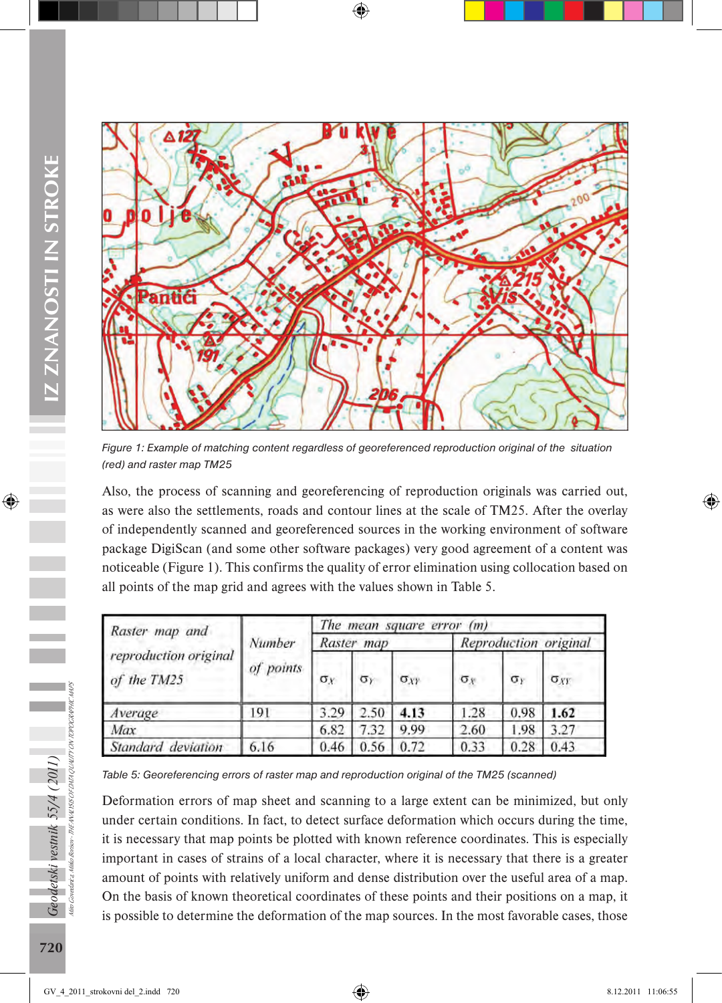

*Figure 1: Example of matching content regardless of georeferenced reproduction original of the situation (red) and raster map TM25*

Also, the process of scanning and georeferencing of reproduction originals was carried out, as were also the settlements, roads and contour lines at the scale of TM25. After the overlay of independently scanned and georeferenced sources in the working environment of software package DigiScan (and some other software packages) very good agreement of a content was noticeable (Figure 1). This confirms the quality of error elimination using collocation based on all points of the map grid and agrees with the values shown in Table 5.

| Raster map and                       |           | The mean square error $(m)$ |            |               |                       |            |               |  |
|--------------------------------------|-----------|-----------------------------|------------|---------------|-----------------------|------------|---------------|--|
|                                      | Number    | Raster map                  |            |               | Reproduction original |            |               |  |
| reproduction original<br>of the TM25 | of points | $\sigma_{Y}$                | $\sigma_Y$ | $\sigma_{XY}$ | $\sigma_x$            | $\sigma_r$ | $\sigma_{XY}$ |  |
| Average                              | 191       | 3.29                        | 2.50       | 4.13          | 1.28                  | 0.98       | 1.62          |  |
| Max                                  |           | 6.82                        | 7.32       | 9.99          | 2.60                  | 1.98       | 3.27          |  |
| Standard deviation                   | 6.16      | 0.46                        | 0.56       | 0.72          | 0.33                  | 0.28       | 0.43          |  |

Table 5: Georeferencing errors of raster map and reproduction original of the TM25 (scanned)

Deformation errors of map sheet and scanning to a large extent can be minimized, but only under certain conditions. In fact, to detect surface deformation which occurs during the time, it is necessary that map points be plotted with known reference coordinates. This is especially important in cases of strains of a local character, where it is necessary that there is a greater amount of points with relatively uniform and dense distribution over the useful area of a map. On the basis of known theoretical coordinates of these points and their positions on a map, it is possible to determine the deformation of the map sources. In the most favorable cases, those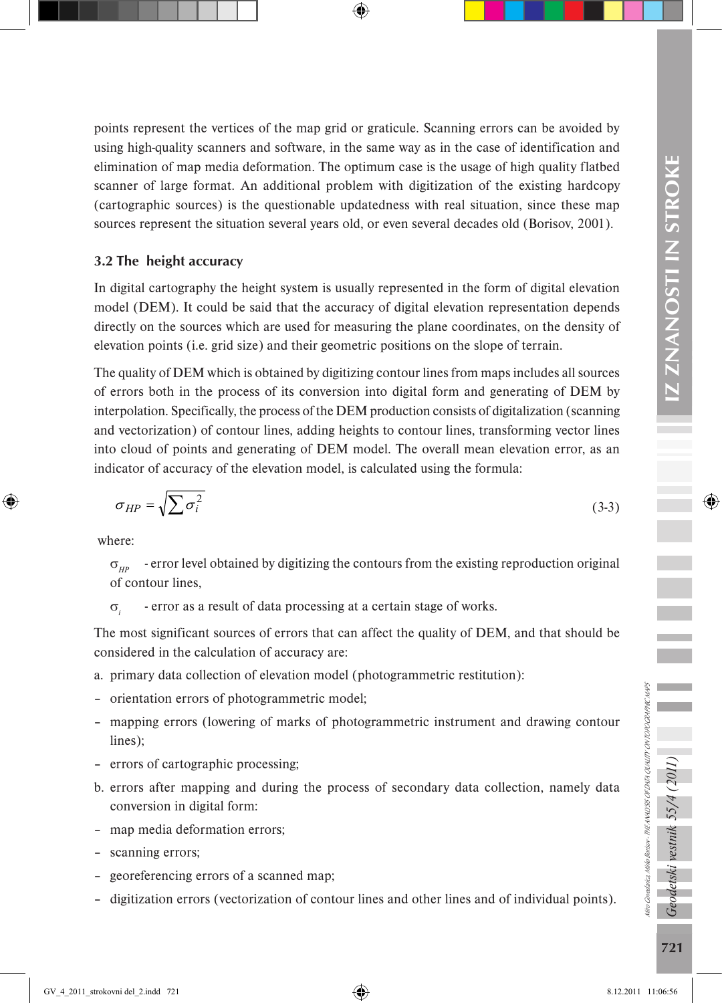Ē

points represent the vertices of the map grid or graticule. Scanning errors can be avoided by using high-quality scanners and software, in the same way as in the case of identification and elimination of map media deformation. The optimum case is the usage of high quality flatbed scanner of large format. An additional problem with digitization of the existing hardcopy (cartographic sources) is the questionable updatedness with real situation, since these map sources represent the situation several years old, or even several decades old (Borisov, 2001).

#### 3.2 The height accuracy

In digital cartography the height system is usually represented in the form of digital elevation model (DEM). It could be said that the accuracy of digital elevation representation depends directly on the sources which are used for measuring the plane coordinates, on the density of elevation points (i.e. grid size) and their geometric positions on the slope of terrain.

The quality of DEM which is obtained by digitizing contour lines from maps includes all sources of errors both in the process of its conversion into digital form and generating of DEM by interpolation. Specifically, the process of the DEM production consists of digitalization (scanning and vectorization) of contour lines, adding heights to contour lines, transforming vector lines into cloud of points and generating of DEM model. The overall mean elevation error, as an indicator of accuracy of the elevation model, is calculated using the formula:

$$
\sigma_{HP} = \sqrt{\sum \sigma_i^2} \tag{3-3}
$$

where:

 $\sigma_{\mu\nu}$  - error level obtained by digitizing the contours from the existing reproduction original of contour lines,

σ*<sup>i</sup>* - error as a result of data processing at a certain stage of works.

The most significant sources of errors that can affect the quality of DEM, and that should be considered in the calculation of accuracy are:

- a. primary data collection of elevation model (photogrammetric restitution):
- orientation errors of photogrammetric model;
- mapping errors (lowering of marks of photogrammetric instrument and drawing contour lines);
- errors of cartographic processing;
- b. errors after mapping and during the process of secondary data collection, namely data conversion in digital form:
- map media deformation errors;
- scanning errors;
- georeferencing errors of a scanned map;
- digitization errors (vectorization of contour lines and other lines and of individual points).

Geodetski vestnik 55/4 (2011)

Miro Govedarica, Mirko Borisov - THE ANALYSIS OF DATA QUALITY ON TOPOGRAPHIC MAPS

tiro Govedarica, Mirko Borisov - THE ANALISSS OF DATA QUALITY ON TOPOGRAPHIC MAPS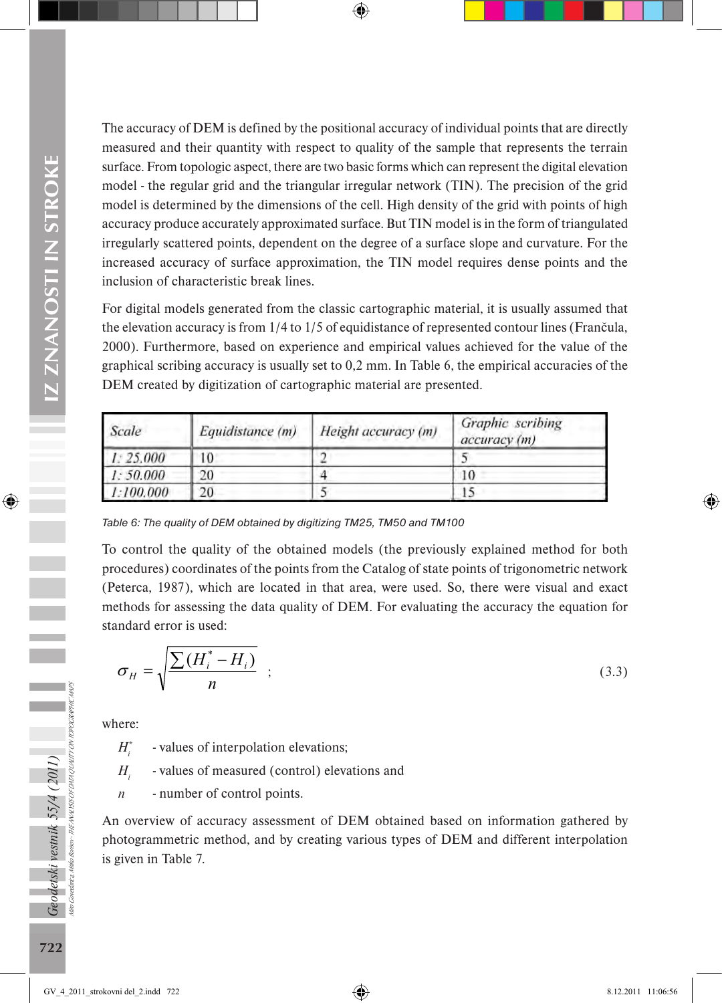The accuracy of DEM is defined by the positional accuracy of individual points that are directly measured and their quantity with respect to quality of the sample that represents the terrain surface. From topologic aspect, there are two basic forms which can represent the digital elevation model - the regular grid and the triangular irregular network (TIN). The precision of the grid model is determined by the dimensions of the cell. High density of the grid with points of high accuracy produce accurately approximated surface. But TIN model is in the form of triangulated irregularly scattered points, dependent on the degree of a surface slope and curvature. For the increased accuracy of surface approximation, the TIN model requires dense points and the inclusion of characteristic break lines.

For digital models generated from the classic cartographic material, it is usually assumed that the elevation accuracy is from 1/4 to 1/5 of equidistance of represented contour lines (Frančula, 2000). Furthermore, based on experience and empirical values achieved for the value of the graphical scribing accuracy is usually set to 0,2 mm. In Table 6, the empirical accuracies of the DEM created by digitization of cartographic material are presented.

| Scale     | Equidistance (m) | Height accuracy (m) | Graphic scribing<br>accuracy (m) |
|-----------|------------------|---------------------|----------------------------------|
| 1: 25.000 | 10               |                     |                                  |
| 1:50.000  | 20               |                     | 10                               |
| 1:100.000 | 20               |                     | 15                               |

*Table 6: The quality of DEM obtained by digitizing TM25, TM50 and TM100*

To control the quality of the obtained models (the previously explained method for both procedures) coordinates of the points from the Catalog of state points of trigonometric network (Peterca, 1987), which are located in that area, were used. So, there were visual and exact methods for assessing the data quality of DEM. For evaluating the accuracy the equation for standard error is used:

$$
\sigma_H = \sqrt{\frac{\sum (H_i^* - H_i)}{n}} \quad ; \tag{3.3}
$$

where:

*H\* <sup>i</sup>* - values of interpolation elevations;

*H* - values of measured (control) elevations and

*n* - number of control points.

An overview of accuracy assessment of DEM obtained based on information gathered by photogrammetric method, and by creating various types of DEM and different interpolation is given in Table 7.

Miro Govedarica, Mirko Borisov - THE ANALYSIS OF DATA QUALITY ON TOPOGRAPHIC MAPS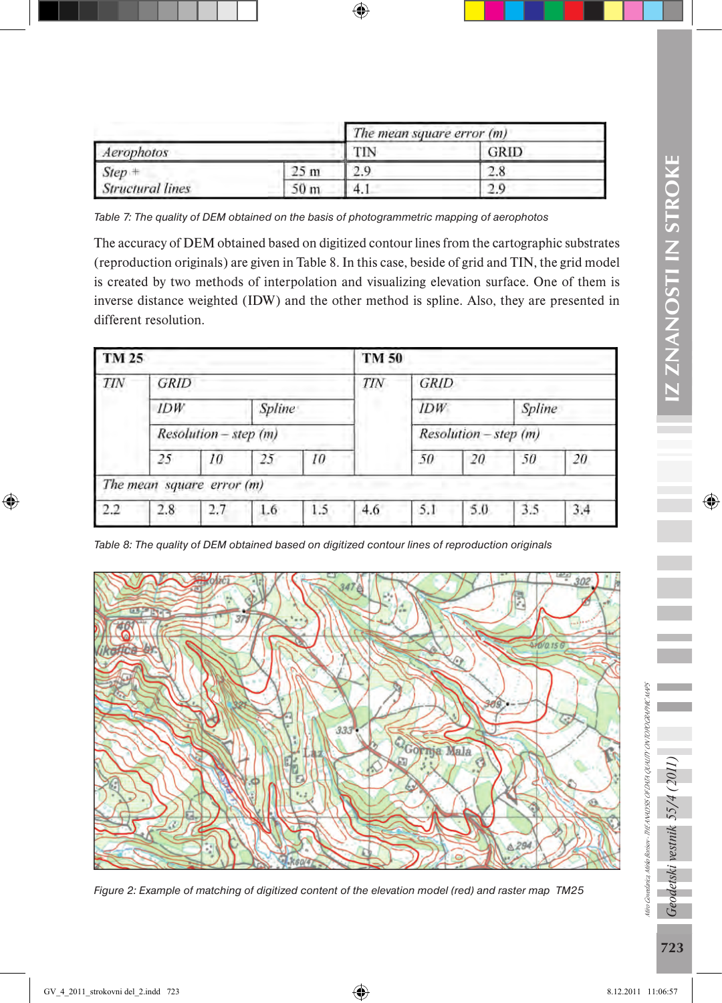|                         |                | The mean square error (m) |      |  |
|-------------------------|----------------|---------------------------|------|--|
| Aerophotos              |                |                           | GRID |  |
| $Step +$                | 25 m           |                           |      |  |
| <b>Structural lines</b> | 0 <sub>m</sub> | л<br><b>T.I</b>           |      |  |

*Table 7: The quality of DEM obtained on the basis of photogrammetric mapping of aerophotos*

The accuracy of DEM obtained based on digitized contour lines from the cartographic substrates (reproduction originals) are given in Table 8. In this case, beside of grid and TIN, the grid model is created by two methods of interpolation and visualizing elevation surface. One of them is inverse distance weighted (IDW) and the other method is spline. Also, they are presented in different resolution.

| TM 25                 |                           |     |     | TM 50                 |     |        |             |     |     |  |
|-----------------------|---------------------------|-----|-----|-----------------------|-----|--------|-------------|-----|-----|--|
| <b>TIN</b>            | <b>GRID</b>               |     |     |                       | TIN |        | <b>GRID</b> |     |     |  |
|                       | IDW<br>Spline             |     |     | IDW                   |     | Spline |             |     |     |  |
| Resolution - step (m) |                           |     |     | Resolution - step (m) |     |        |             |     |     |  |
|                       | 25                        | 10  | 25  | 10                    |     | 50     | 20          | 50  | 20  |  |
|                       | The mean square error (m) |     |     |                       |     |        |             |     |     |  |
| 2.2                   | 2.8                       | 2.7 | 1.6 | 1.5                   | 4.6 | 5.1    | 5.0         | 3.5 | 3.4 |  |

*Table 8: The quality of DEM obtained based on digitized contour lines of reproduction originals*



*Figure 2: Example of matching of digitized content of the elevation model (red) and raster map TM25*

Miro Govedarica, Mirko Borisov - THE ANALYSIS OF DATA QUALITY ON TOPOGRAPHIC MAPS

Niro Govedarica, Mirko Borisov - THE ANALYSIS OF DATA QUALITY ON TOPOGRAPHIC MAPS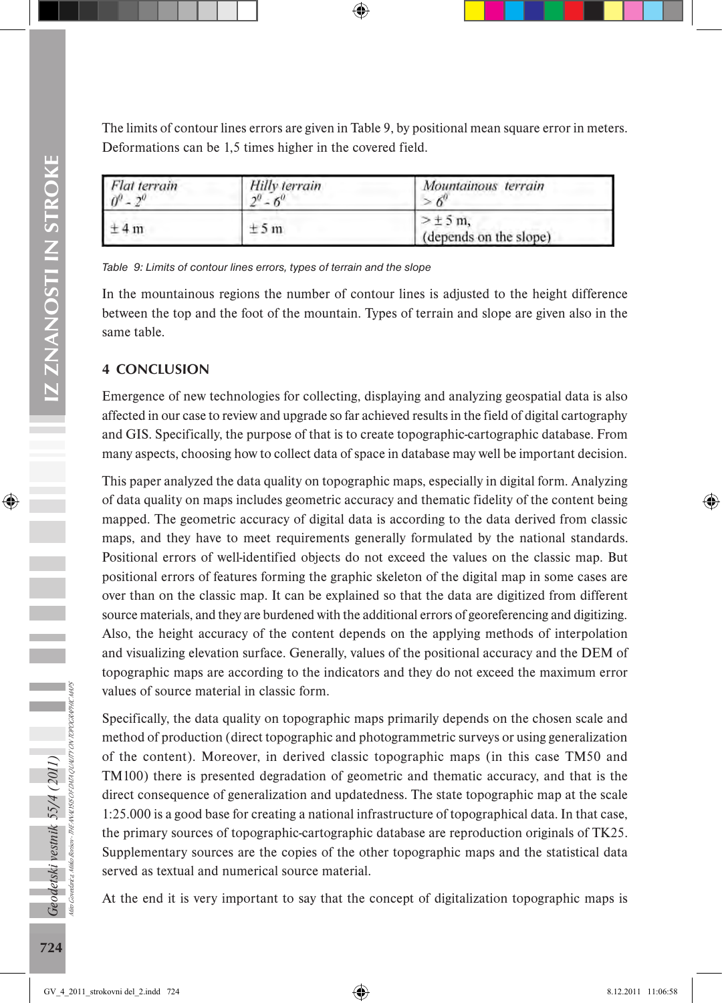The limits of contour lines errors are given in Table 9, by positional mean square error in meters. Deformations can be 1,5 times higher in the covered field.

| Flat terrain<br>$\theta^0$ | Hilly terrain<br>$\gamma$ 0 | Mountainous terrain                   |  |  |
|----------------------------|-----------------------------|---------------------------------------|--|--|
| ±4m                        | ±5m                         | $>\pm$ 5 m.<br>(depends on the slope) |  |  |

*Table 9: Limits of contour lines errors, types of terrain and the slope*

In the mountainous regions the number of contour lines is adjusted to the height difference between the top and the foot of the mountain. Types of terrain and slope are given also in the same table.

## 4 CONCLUSION

Emergence of new technologies for collecting, displaying and analyzing geospatial data is also affected in our case to review and upgrade so far achieved results in the field of digital cartography and GIS. Specifically, the purpose of that is to create topographic-cartographic database. From many aspects, choosing how to collect data of space in database may well be important decision.

This paper analyzed the data quality on topographic maps, especially in digital form. Analyzing of data quality on maps includes geometric accuracy and thematic fidelity of the content being mapped. The geometric accuracy of digital data is according to the data derived from classic maps, and they have to meet requirements generally formulated by the national standards. Positional errors of well-identified objects do not exceed the values on the classic map. But positional errors of features forming the graphic skeleton of the digital map in some cases are over than on the classic map. It can be explained so that the data are digitized from different source materials, and they are burdened with the additional errors of georeferencing and digitizing. Also, the height accuracy of the content depends on the applying methods of interpolation and visualizing elevation surface. Generally, values of the positional accuracy and the DEM of topographic maps are according to the indicators and they do not exceed the maximum error values of source material in classic form.

Specifically, the data quality on topographic maps primarily depends on the chosen scale and method of production (direct topographic and photogrammetric surveys or using generalization of the content). Moreover, in derived classic topographic maps (in this case TM50 and TM100) there is presented degradation of geometric and thematic accuracy, and that is the direct consequence of generalization and updatedness. The state topographic map at the scale 1:25.000 is a good base for creating a national infrastructure of topographical data. In that case, the primary sources of topographic-cartographic database are reproduction originals of TK25. Supplementary sources are the copies of the other topographic maps and the statistical data served as textual and numerical source material.

At the end it is very important to say that the concept of digitalization topographic maps is

Miro Govedarica, Mirko Borisov - THE ANALYSIS OF DATA QUALITY ON TOPOGRAPHIC MAPS

Aiko Boisor - THE ANALISS OF DATA QUALITY ON TOPOGRAPHIC